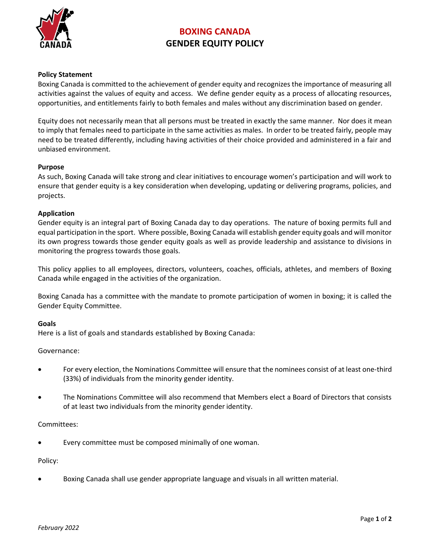

# **BOXING CANADA GENDER EQUITY POLICY**

#### **Policy Statement**

Boxing Canada is committed to the achievement of gender equity and recognizes the importance of measuring all activities against the values of equity and access. We define gender equity as a process of allocating resources, opportunities, and entitlements fairly to both females and males without any discrimination based on gender.

Equity does not necessarily mean that all persons must be treated in exactly the same manner. Nor does it mean to imply that females need to participate in the same activities as males. In order to be treated fairly, people may need to be treated differently, including having activities of their choice provided and administered in a fair and unbiased environment.

#### **Purpose**

As such, Boxing Canada will take strong and clear initiatives to encourage women's participation and will work to ensure that gender equity is a key consideration when developing, updating or delivering programs, policies, and projects.

#### **Application**

Gender equity is an integral part of Boxing Canada day to day operations. The nature of boxing permits full and equal participation in the sport. Where possible, Boxing Canada will establish gender equity goals and will monitor its own progress towards those gender equity goals as well as provide leadership and assistance to divisions in monitoring the progress towards those goals.

This policy applies to all employees, directors, volunteers, coaches, officials, athletes, and members of Boxing Canada while engaged in the activities of the organization.

Boxing Canada has a committee with the mandate to promote participation of women in boxing; it is called the Gender Equity Committee.

#### **Goals**

Here is a list of goals and standards established by Boxing Canada:

Governance:

- For every election, the Nominations Committee will ensure that the nominees consist of at least one-third (33%) of individuals from the minority gender identity.
- The Nominations Committee will also recommend that Members elect a Board of Directors that consists of at least two individuals from the minority gender identity.

#### Committees:

Every committee must be composed minimally of one woman.

#### Policy:

• Boxing Canada shall use gender appropriate language and visuals in all written material.